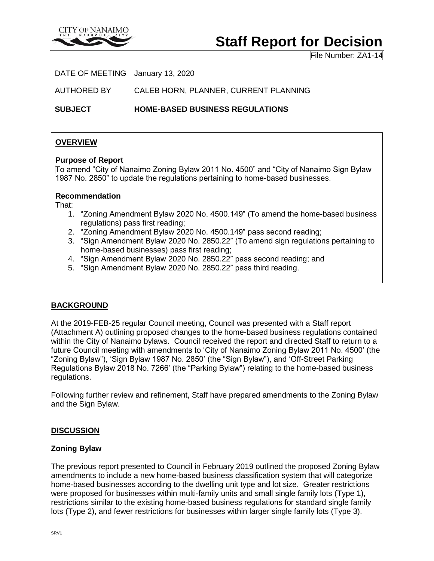

# **Staff Report for Decision**

File Number: ZA1-14

DATE OF MEETING January 13, 2020

AUTHORED BY CALEB HORN, PLANNER, CURRENT PLANNING

**SUBJECT HOME-BASED BUSINESS REGULATIONS**

## **OVERVIEW**

#### **Purpose of Report**

To amend "City of Nanaimo Zoning Bylaw 2011 No. 4500" and "City of Nanaimo Sign Bylaw 1987 No. 2850" to update the regulations pertaining to home-based businesses.

#### **Recommendation**

That:

- 1. "Zoning Amendment Bylaw 2020 No. 4500.149" (To amend the home-based business regulations) pass first reading;
- 2. "Zoning Amendment Bylaw 2020 No. 4500.149" pass second reading;
- 3. "Sign Amendment Bylaw 2020 No. 2850.22" (To amend sign regulations pertaining to home-based businesses) pass first reading;
- 4. "Sign Amendment Bylaw 2020 No. 2850.22" pass second reading; and
- 5. "Sign Amendment Bylaw 2020 No. 2850.22" pass third reading.

## **BACKGROUND**

At the 2019-FEB-25 regular Council meeting, Council was presented with a Staff report (Attachment A) outlining proposed changes to the home-based business regulations contained within the City of Nanaimo bylaws. Council received the report and directed Staff to return to a future Council meeting with amendments to 'City of Nanaimo Zoning Bylaw 2011 No. 4500' (the "Zoning Bylaw"), 'Sign Bylaw 1987 No. 2850' (the "Sign Bylaw"), and 'Off-Street Parking Regulations Bylaw 2018 No. 7266' (the "Parking Bylaw") relating to the home-based business regulations.

Following further review and refinement, Staff have prepared amendments to the Zoning Bylaw and the Sign Bylaw.

#### **DISCUSSION**

#### **Zoning Bylaw**

The previous report presented to Council in February 2019 outlined the proposed Zoning Bylaw amendments to include a new home-based business classification system that will categorize home-based businesses according to the dwelling unit type and lot size. Greater restrictions were proposed for businesses within multi-family units and small single family lots (Type 1), restrictions similar to the existing home-based business regulations for standard single family lots (Type 2), and fewer restrictions for businesses within larger single family lots (Type 3).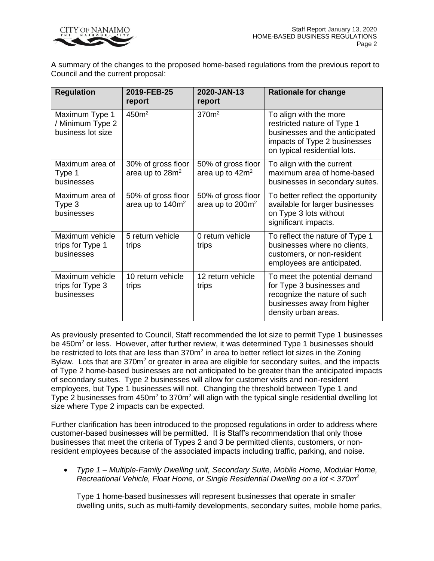

A summary of the changes to the proposed home-based regulations from the previous report to Council and the current proposal:

| <b>Regulation</b>                                       | 2019-FEB-25<br>report                             | 2020-JAN-13<br>report                             | <b>Rationale for change</b>                                                                                                                             |
|---------------------------------------------------------|---------------------------------------------------|---------------------------------------------------|---------------------------------------------------------------------------------------------------------------------------------------------------------|
| Maximum Type 1<br>/ Minimum Type 2<br>business lot size | 450m <sup>2</sup>                                 | 370m <sup>2</sup>                                 | To align with the more<br>restricted nature of Type 1<br>businesses and the anticipated<br>impacts of Type 2 businesses<br>on typical residential lots. |
| Maximum area of<br>Type 1<br>businesses                 | 30% of gross floor<br>area up to 28m <sup>2</sup> | 50% of gross floor<br>area up to 42m <sup>2</sup> | To align with the current<br>maximum area of home-based<br>businesses in secondary suites.                                                              |
| Maximum area of<br>Type 3<br>businesses                 | 50% of gross floor<br>area up to $140m^2$         | 50% of gross floor<br>area up to $200m^2$         | To better reflect the opportunity<br>available for larger businesses<br>on Type 3 lots without<br>significant impacts.                                  |
| Maximum vehicle<br>trips for Type 1<br>businesses       | 5 return vehicle<br>trips                         | 0 return vehicle<br>trips                         | To reflect the nature of Type 1<br>businesses where no clients,<br>customers, or non-resident<br>employees are anticipated.                             |
| Maximum vehicle<br>trips for Type 3<br>businesses       | 10 return vehicle<br>trips                        | 12 return vehicle<br>trips                        | To meet the potential demand<br>for Type 3 businesses and<br>recognize the nature of such<br>businesses away from higher<br>density urban areas.        |

As previously presented to Council, Staff recommended the lot size to permit Type 1 businesses be 450m<sup>2</sup> or less. However, after further review, it was determined Type 1 businesses should be restricted to lots that are less than 370m<sup>2</sup> in area to better reflect lot sizes in the Zoning Bylaw. Lots that are 370m<sup>2</sup> or greater in area are eligible for secondary suites, and the impacts of Type 2 home-based businesses are not anticipated to be greater than the anticipated impacts of secondary suites. Type 2 businesses will allow for customer visits and non-resident employees, but Type 1 businesses will not. Changing the threshold between Type 1 and Type 2 businesses from 450m<sup>2</sup> to 370m<sup>2</sup> will align with the typical single residential dwelling lot size where Type 2 impacts can be expected.

Further clarification has been introduced to the proposed regulations in order to address where customer-based businesses will be permitted. It is Staff's recommendation that only those businesses that meet the criteria of Types 2 and 3 be permitted clients, customers, or nonresident employees because of the associated impacts including traffic, parking, and noise.

 *Type 1 – Multiple-Family Dwelling unit, Secondary Suite, Mobile Home, Modular Home, Recreational Vehicle, Float Home, or Single Residential Dwelling on a lot < 370m<sup>2</sup>*

Type 1 home-based businesses will represent businesses that operate in smaller dwelling units, such as multi-family developments, secondary suites, mobile home parks,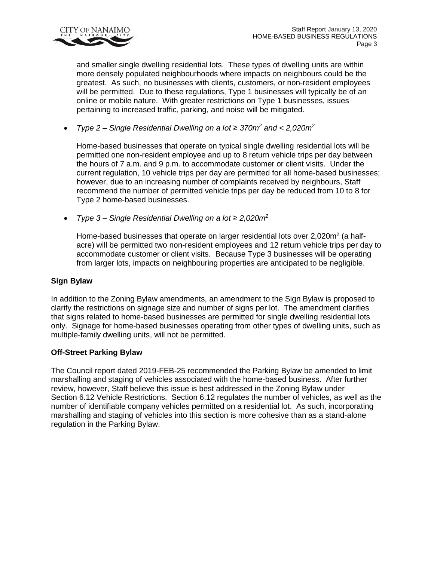

and smaller single dwelling residential lots. These types of dwelling units are within more densely populated neighbourhoods where impacts on neighbours could be the greatest. As such, no businesses with clients, customers, or non-resident employees will be permitted. Due to these regulations, Type 1 businesses will typically be of an online or mobile nature. With greater restrictions on Type 1 businesses, issues pertaining to increased traffic, parking, and noise will be mitigated.

*Type 2 – Single Residential Dwelling on a lot ≥ 370m<sup>2</sup> and < 2,020m<sup>2</sup>*

Home-based businesses that operate on typical single dwelling residential lots will be permitted one non-resident employee and up to 8 return vehicle trips per day between the hours of 7 a.m. and 9 p.m. to accommodate customer or client visits. Under the current regulation, 10 vehicle trips per day are permitted for all home-based businesses; however, due to an increasing number of complaints received by neighbours, Staff recommend the number of permitted vehicle trips per day be reduced from 10 to 8 for Type 2 home-based businesses.

*Type 3 – Single Residential Dwelling on a lot* ≥ *2,020m<sup>2</sup>*

Home-based businesses that operate on larger residential lots over 2,020m<sup>2</sup> (a halfacre) will be permitted two non-resident employees and 12 return vehicle trips per day to accommodate customer or client visits. Because Type 3 businesses will be operating from larger lots, impacts on neighbouring properties are anticipated to be negligible.

## **Sign Bylaw**

In addition to the Zoning Bylaw amendments, an amendment to the Sign Bylaw is proposed to clarify the restrictions on signage size and number of signs per lot. The amendment clarifies that signs related to home-based businesses are permitted for single dwelling residential lots only. Signage for home-based businesses operating from other types of dwelling units, such as multiple-family dwelling units, will not be permitted.

## **Off-Street Parking Bylaw**

The Council report dated 2019-FEB-25 recommended the Parking Bylaw be amended to limit marshalling and staging of vehicles associated with the home-based business. After further review, however, Staff believe this issue is best addressed in the Zoning Bylaw under Section 6.12 Vehicle Restrictions. Section 6.12 regulates the number of vehicles, as well as the number of identifiable company vehicles permitted on a residential lot. As such, incorporating marshalling and staging of vehicles into this section is more cohesive than as a stand-alone regulation in the Parking Bylaw.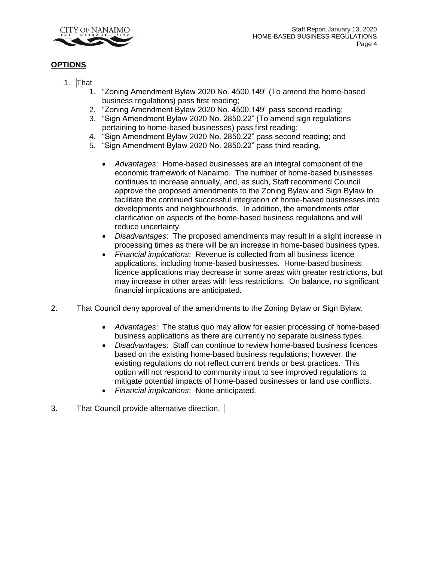

## **OPTIONS**

- 1. That
	- 1. "Zoning Amendment Bylaw 2020 No. 4500.149" (To amend the home-based business regulations) pass first reading;
	- 2. "Zoning Amendment Bylaw 2020 No. 4500.149" pass second reading;
	- 3. "Sign Amendment Bylaw 2020 No. 2850.22" (To amend sign regulations pertaining to home-based businesses) pass first reading;
	- 4. "Sign Amendment Bylaw 2020 No. 2850.22" pass second reading; and
	- 5. "Sign Amendment Bylaw 2020 No. 2850.22" pass third reading.
		- *Advantages*: Home-based businesses are an integral component of the economic framework of Nanaimo. The number of home-based businesses continues to increase annually, and, as such, Staff recommend Council approve the proposed amendments to the Zoning Bylaw and Sign Bylaw to facilitate the continued successful integration of home-based businesses into developments and neighbourhoods. In addition, the amendments offer clarification on aspects of the home-based business regulations and will reduce uncertainty.
		- *Disadvantages*: The proposed amendments may result in a slight increase in processing times as there will be an increase in home-based business types.
		- *Financial implications*: Revenue is collected from all business licence applications, including home-based businesses. Home-based business licence applications may decrease in some areas with greater restrictions, but may increase in other areas with less restrictions. On balance, no significant financial implications are anticipated.
- 2. That Council deny approval of the amendments to the Zoning Bylaw or Sign Bylaw.
	- *Advantages*: The status quo may allow for easier processing of home-based business applications as there are currently no separate business types.
	- *Disadvantages*: Staff can continue to review home-based business licences based on the existing home-based business regulations; however, the existing regulations do not reflect current trends or best practices. This option will not respond to community input to see improved regulations to mitigate potential impacts of home-based businesses or land use conflicts.
	- *Financial implications*: None anticipated.
- 3. That Council provide alternative direction.